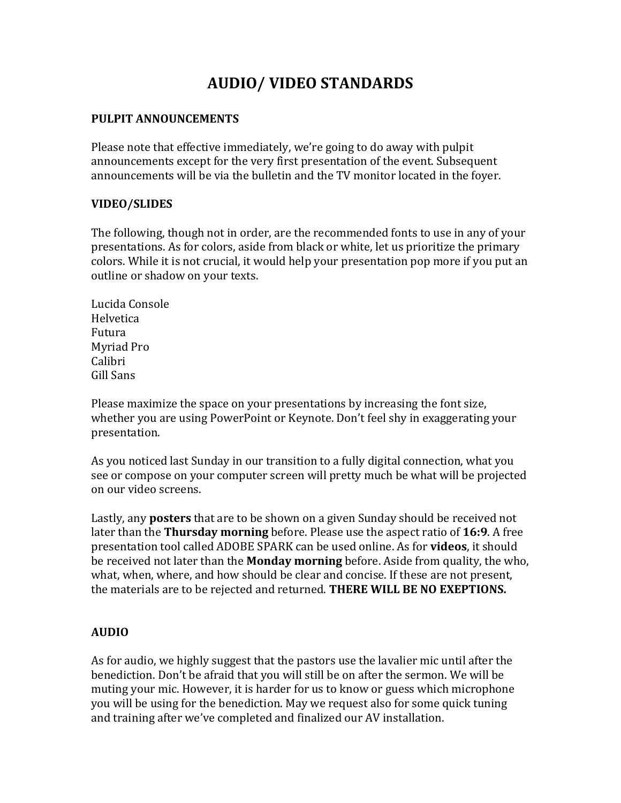## **AUDIO/ VIDEO STANDARDS**

## **PULPIT ANNOUNCEMENTS**

Please note that effective immediately, we're going to do away with pulpit announcements except for the very first presentation of the event. Subsequent announcements will be via the bulletin and the TV monitor located in the foyer.

## **VIDEO/SLIDES**

The following, though not in order, are the recommended fonts to use in any of your presentations. As for colors, aside from black or white, let us prioritize the primary colors. While it is not crucial, it would help your presentation pop more if you put an outline or shadow on your texts.

Lucida Console Helvetica Futura Myriad Pro Calibri Gill Sans

Please maximize the space on your presentations by increasing the font size, whether you are using PowerPoint or Keynote. Don't feel shy in exaggerating your presentation.

As you noticed last Sunday in our transition to a fully digital connection, what you see or compose on your computer screen will pretty much be what will be projected on our video screens.

Lastly, any **posters** that are to be shown on a given Sunday should be received not later than the **Thursday morning** before. Please use the aspect ratio of **16:9**. A free presentation tool called ADOBE SPARK can be used online. As for **videos**, it should be received not later than the **Monday morning** before. Aside from quality, the who, what, when, where, and how should be clear and concise. If these are not present, the materials are to be rejected and returned. **THERE WILL BE NO EXEPTIONS.**

## **AUDIO**

As for audio, we highly suggest that the pastors use the lavalier mic until after the benediction. Don't be afraid that you will still be on after the sermon. We will be muting your mic. However, it is harder for us to know or guess which microphone you will be using for the benediction. May we request also for some quick tuning and training after we've completed and finalized our AV installation.